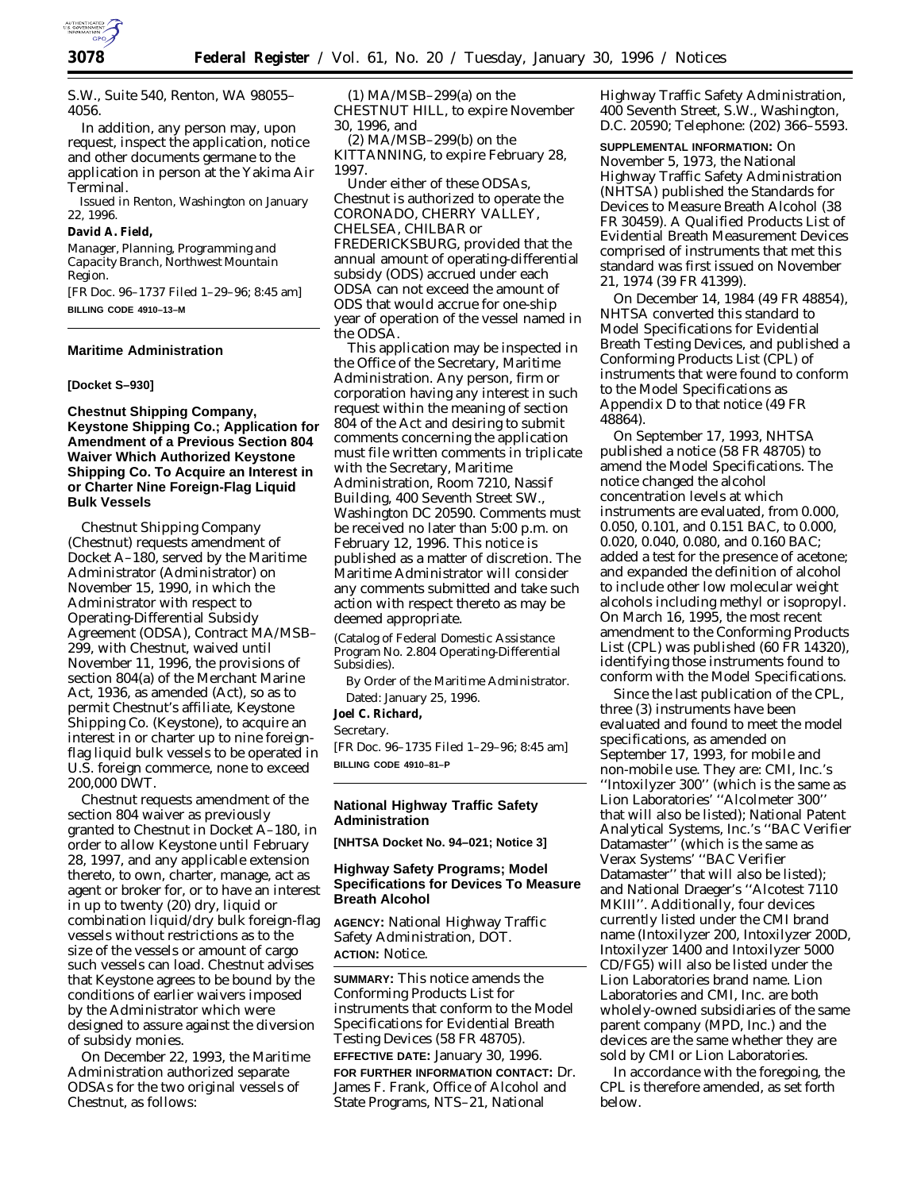

S.W., Suite 540, Renton, WA 98055– 4056.

In addition, any person may, upon request, inspect the application, notice and other documents germane to the application in person at the Yakima Air Terminal.

Issued in Renton, Washington on January 22, 1996.

**David A. Field,**

*Manager, Planning, Programming and Capacity Branch, Northwest Mountain Region.*

[FR Doc. 96–1737 Filed 1–29–96; 8:45 am] **BILLING CODE 4910–13–M**

### **Maritime Administration**

### **[Docket S–930]**

**Chestnut Shipping Company, Keystone Shipping Co.; Application for Amendment of a Previous Section 804 Waiver Which Authorized Keystone Shipping Co. To Acquire an Interest in or Charter Nine Foreign-Flag Liquid Bulk Vessels**

Chestnut Shipping Company (Chestnut) requests amendment of Docket A–180, served by the Maritime Administrator (Administrator) on November 15, 1990, in which the Administrator with respect to Operating-Differential Subsidy Agreement (ODSA), Contract MA/MSB– 299, with Chestnut, waived until November 11, 1996, the provisions of section 804(a) of the Merchant Marine Act, 1936, as amended (Act), so as to permit Chestnut's affiliate, Keystone Shipping Co. (Keystone), to acquire an interest in or charter up to nine foreignflag liquid bulk vessels to be operated in U.S. foreign commerce, none to exceed 200,000 DWT.

Chestnut requests amendment of the section 804 waiver as previously granted to Chestnut in Docket A–180, in order to allow Keystone until February 28, 1997, and any applicable extension thereto, to own, charter, manage, act as agent or broker for, or to have an interest in up to twenty (20) dry, liquid or combination liquid/dry bulk foreign-flag vessels without restrictions as to the size of the vessels or amount of cargo such vessels can load. Chestnut advises that Keystone agrees to be bound by the conditions of earlier waivers imposed by the Administrator which were designed to assure against the diversion of subsidy monies.

On December 22, 1993, the Maritime Administration authorized separate ODSAs for the two original vessels of Chestnut, as follows:

(1) MA/MSB–299(a) on the CHESTNUT HILL, to expire November 30, 1996, and

(2) MA/MSB–299(b) on the KITTANNING, to expire February 28, 1997.

Under either of these ODSAs, Chestnut is authorized to operate the CORONADO, CHERRY VALLEY, CHELSEA, CHILBAR or FREDERICKSBURG, provided that the annual amount of operating-differential subsidy (ODS) accrued under each ODSA can not exceed the amount of ODS that would accrue for one-ship year of operation of the vessel named in the ODSA.

This application may be inspected in the Office of the Secretary, Maritime Administration. Any person, firm or corporation having any interest in such request within the meaning of section 804 of the Act and desiring to submit comments concerning the application must file written comments in triplicate with the Secretary, Maritime Administration, Room 7210, Nassif Building, 400 Seventh Street SW., Washington DC 20590. Comments must be received no later than 5:00 p.m. on February 12, 1996. This notice is published as a matter of discretion. The Maritime Administrator will consider any comments submitted and take such action with respect thereto as may be deemed appropriate.

(Catalog of Federal Domestic Assistance Program No. 2.804 Operating-Differential Subsidies).

By Order of the Maritime Administrator. Dated: January 25, 1996.

**Joel C. Richard,**

*Secretary.*

[FR Doc. 96–1735 Filed 1–29–96; 8:45 am] **BILLING CODE 4910–81–P**

### **National Highway Traffic Safety Administration**

**[NHTSA Docket No. 94–021; Notice 3]**

### **Highway Safety Programs; Model Specifications for Devices To Measure Breath Alcohol**

**AGENCY:** National Highway Traffic Safety Administration, DOT. **ACTION:** Notice.

**SUMMARY:** This notice amends the Conforming Products List for instruments that conform to the Model Specifications for Evidential Breath Testing Devices (58 FR 48705). **EFFECTIVE DATE:** January 30, 1996. **FOR FURTHER INFORMATION CONTACT:** Dr. James F. Frank, Office of Alcohol and State Programs, NTS–21, National

Highway Traffic Safety Administration, 400 Seventh Street, S.W., Washington, D.C. 20590; Telephone: (202) 366–5593.

**SUPPLEMENTAL INFORMATION:** On November 5, 1973, the National Highway Traffic Safety Administration (NHTSA) published the Standards for Devices to Measure Breath Alcohol (38 FR 30459). A Qualified Products List of Evidential Breath Measurement Devices comprised of instruments that met this standard was first issued on November 21, 1974 (39 FR 41399).

On December 14, 1984 (49 FR 48854), NHTSA converted this standard to Model Specifications for Evidential Breath Testing Devices, and published a Conforming Products List (CPL) of instruments that were found to conform to the Model Specifications as Appendix D to that notice (49 FR 48864).

On September 17, 1993, NHTSA published a notice (58 FR 48705) to amend the Model Specifications. The notice changed the alcohol concentration levels at which instruments are evaluated, from 0.000, 0.050, 0.101, and 0.151 BAC, to 0.000, 0.020, 0.040, 0.080, and 0.160 BAC; added a test for the presence of acetone; and expanded the definition of alcohol to include other low molecular weight alcohols including methyl or isopropyl. On March 16, 1995, the most recent amendment to the Conforming Products List (CPL) was published (60 FR 14320), identifying those instruments found to conform with the Model Specifications.

Since the last publication of the CPL, three (3) instruments have been evaluated and found to meet the model specifications, as amended on September 17, 1993, for mobile and non-mobile use. They are: CMI, Inc.'s ''Intoxilyzer 300'' (which is the same as Lion Laboratories' ''Alcolmeter 300'' that will also be listed); National Patent Analytical Systems, Inc.'s ''BAC Verifier Datamaster'' (which is the same as Verax Systems' ''BAC Verifier Datamaster'' that will also be listed); and National Draeger's ''Alcotest 7110 MKIII''. Additionally, four devices currently listed under the CMI brand name (Intoxilyzer 200, Intoxilyzer 200D, Intoxilyzer 1400 and Intoxilyzer 5000 CD/FG5) will also be listed under the Lion Laboratories brand name. Lion Laboratories and CMI, Inc. are both wholely-owned subsidiaries of the same parent company (MPD, Inc.) and the devices are the same whether they are sold by CMI or Lion Laboratories.

In accordance with the foregoing, the CPL is therefore amended, as set forth below.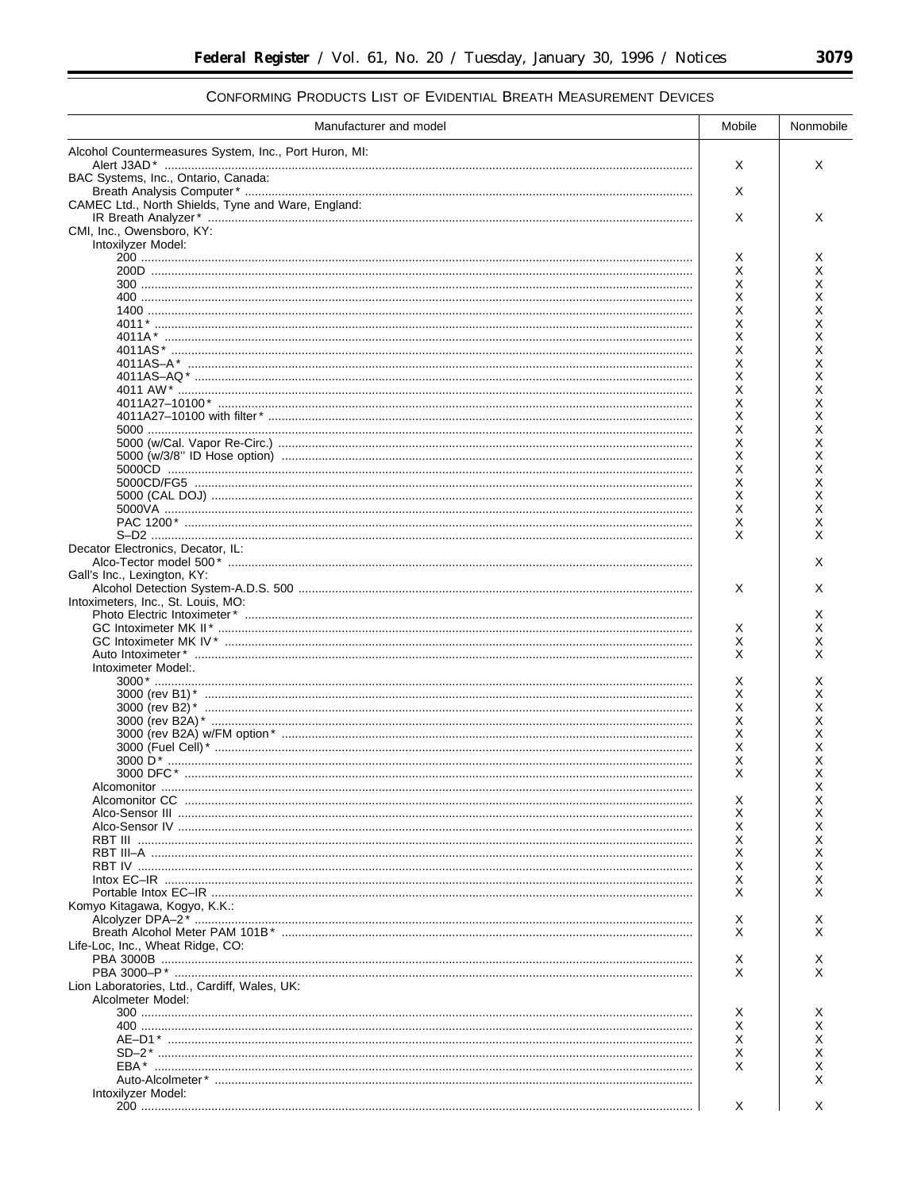# CONFORMING PRODUCTS LIST OF EVIDENTIAL BREATH MEASUREMENT DEVICES

| Manufacturer and model                                | Mobile | Nonmobile |
|-------------------------------------------------------|--------|-----------|
| Alcohol Countermeasures System, Inc., Port Huron, MI: |        |           |
| BAC Systems, Inc., Ontario, Canada:                   | Х      | X         |
|                                                       | Х      |           |
| CAMEC Ltd., North Shields, Tyne and Ware, England:    | X      | X         |
| CMI, Inc., Owensboro, KY:                             |        |           |
| Intoxilyzer Model:                                    |        |           |
|                                                       | х<br>х | х<br>х    |
|                                                       | X      | Χ         |
|                                                       | X<br>X | X<br>X    |
|                                                       | Χ      | X         |
|                                                       | X      | Χ         |
|                                                       | X<br>X | X<br>Χ    |
|                                                       | Χ      | Χ         |
|                                                       | Χ      | Χ         |
|                                                       | X<br>Χ | X<br>Χ    |
|                                                       | Χ      | Χ         |
|                                                       | Χ      | х         |
|                                                       | X      | X         |
|                                                       | Χ<br>Χ | х<br>Χ    |
|                                                       | X      | X         |
|                                                       | X      | X         |
|                                                       | X<br>X | X<br>X    |
| Decator Electronics, Decator, IL:                     |        |           |
|                                                       |        | X         |
| Gall's Inc., Lexington, KY:                           | Х      | X         |
| Intoximeters, Inc., St. Louis, MO:                    |        |           |
|                                                       |        | X         |
|                                                       | х<br>Х | X<br>х    |
|                                                       | X      | X         |
| Intoximeter Model:.                                   |        |           |
|                                                       | х<br>X | х<br>X    |
|                                                       | X      | X         |
|                                                       | X      | X         |
|                                                       | X<br>X | Χ<br>Χ    |
|                                                       | X      | Χ         |
|                                                       | X      | х         |
| Alcomonitor                                           | х      | ↗<br>х    |
|                                                       | X      | X         |
|                                                       | X      | х         |
|                                                       | X<br>X | х<br>X    |
|                                                       | Х      | х         |
|                                                       | X      | х         |
| Komyo Kitagawa, Kogyo, K.K.:                          | X      |           |
|                                                       | х      | х         |
|                                                       | X      | X         |
| Life-Loc, Inc., Wheat Ridge, CO:                      | х      |           |
|                                                       | X      | x         |
| Lion Laboratories, Ltd., Cardiff, Wales, UK:          |        |           |
| Alcolmeter Model:                                     |        |           |
|                                                       | х<br>Х | х<br>x    |
|                                                       | X      | X         |
|                                                       | X      |           |
|                                                       | X      |           |
| Intoxilyzer Model:                                    |        |           |
|                                                       | Х      | X         |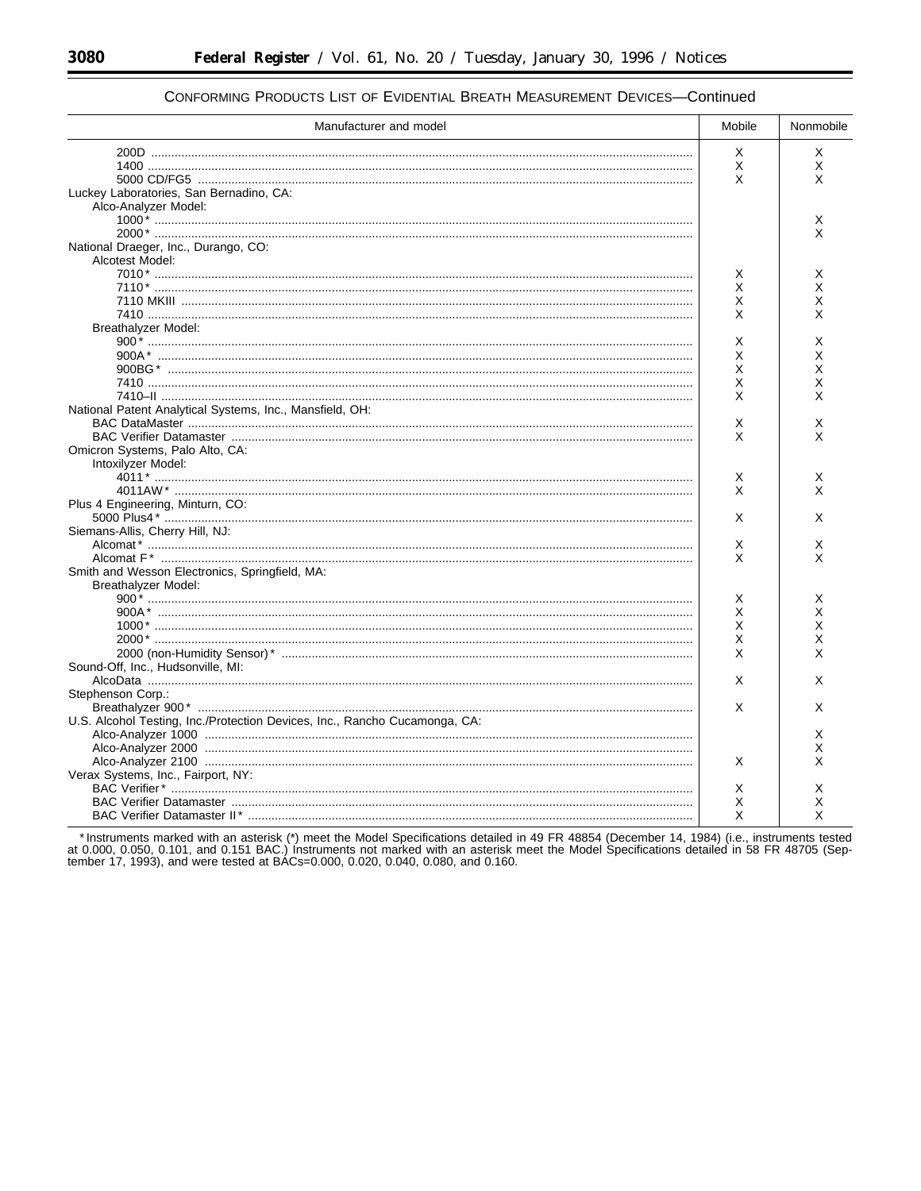۳

| Manufacturer and model                                                     | Mobile | Nonmobile |
|----------------------------------------------------------------------------|--------|-----------|
|                                                                            | X      | Х         |
|                                                                            | Χ      | X         |
|                                                                            | X      | X         |
| Luckey Laboratories, San Bernadino, CA:                                    |        |           |
| Alco-Analyzer Model:                                                       |        |           |
|                                                                            |        | Х         |
|                                                                            |        | X         |
|                                                                            |        |           |
| National Draeger, Inc., Durango, CO:                                       |        |           |
| Alcotest Model:                                                            |        |           |
|                                                                            | Х      | Х         |
|                                                                            | X      | х         |
|                                                                            | Χ      | X         |
|                                                                            | X      | x         |
| Breathalyzer Model:                                                        |        |           |
|                                                                            | х      | X         |
|                                                                            | X      | Χ         |
|                                                                            | X      | X         |
|                                                                            | Χ      | х         |
|                                                                            | X      | X         |
| National Patent Analytical Systems, Inc., Mansfield, OH:                   |        |           |
|                                                                            | X      | X         |
|                                                                            | X      | x         |
| Omicron Systems, Palo Alto, CA:                                            |        |           |
| Intoxilyzer Model:                                                         |        |           |
|                                                                            | х      | Х         |
|                                                                            | X      | X         |
| Plus 4 Engineering, Minturn, CO:                                           |        |           |
|                                                                            | X      | X         |
| Siemans-Allis, Cherry Hill, NJ:                                            |        |           |
|                                                                            | Х      | х         |
|                                                                            | X      | X         |
|                                                                            |        |           |
| Smith and Wesson Electronics, Springfield, MA:                             |        |           |
| Breathalyzer Model:                                                        |        |           |
|                                                                            | Х      | Х         |
|                                                                            | X      | X         |
|                                                                            | X      | X         |
|                                                                            | Χ      | Χ         |
|                                                                            | X      | X         |
| Sound-Off, Inc., Hudsonville, MI:                                          |        |           |
|                                                                            | X      | X         |
| Stephenson Corp.:                                                          |        |           |
|                                                                            | X      | X         |
| U.S. Alcohol Testing, Inc./Protection Devices, Inc., Rancho Cucamonga, CA: |        |           |
|                                                                            |        | X         |
|                                                                            |        | х         |
|                                                                            | X      | X         |
| Verax Systems, Inc., Fairport, NY:                                         |        |           |
|                                                                            | X      | X         |
|                                                                            | X      | X         |
|                                                                            | X      | X         |
|                                                                            |        |           |

### CONFORMING PRODUCTS LIST OF EVIDENTIAL BREATH MEASUREMENT DEVICES-Continued

\* Instruments marked with an asterisk (\*) meet the Model Specifications detailed in 49 FR 48854 (December 14, 1984) (i.e., instruments tested at 0.000, 0.050, 0.101, and 0.151 BAC.) Instruments not marked with an asterisk